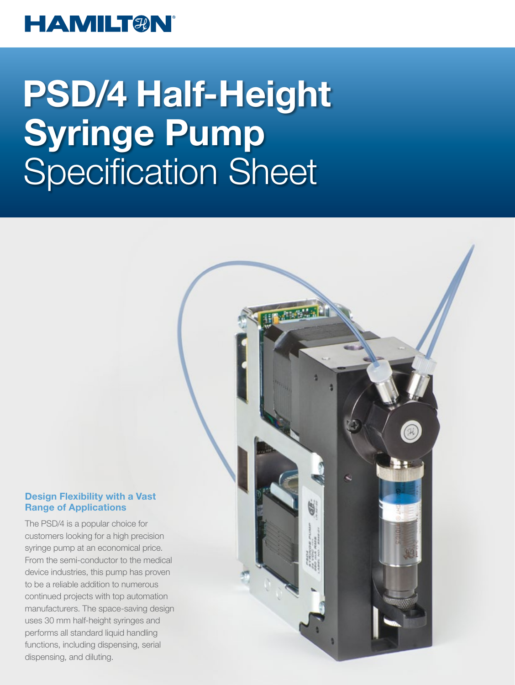### **HAMILT®N®**

# PSD/4 Half-Height Syringe Pump Specification Sheet

#### Design Flexibility with a Vast Range of Applications

The PSD/4 is a popular choice for customers looking for a high precision syringe pump at an economical price. From the semi-conductor to the medical device industries, this pump has proven to be a reliable addition to numerous continued projects with top automation manufacturers. The space-saving design uses 30 mm half-height syringes and performs all standard liquid handling functions, including dispensing, serial dispensing, and diluting.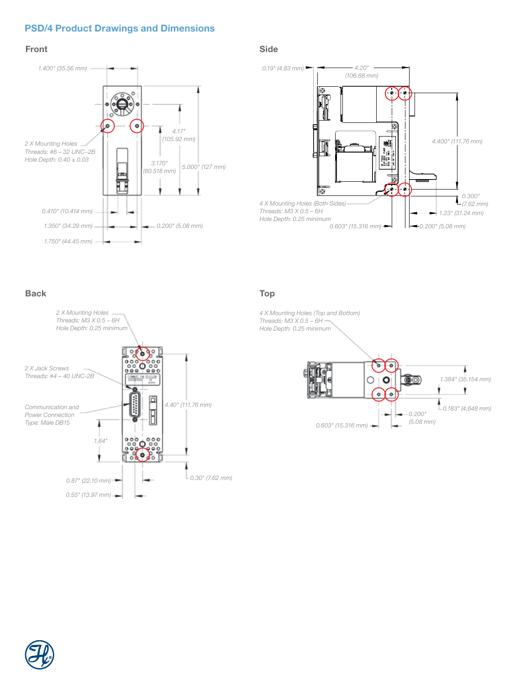#### PSD/4 Product Drawings and Dimensions

#### Front



#### Side



Back Top





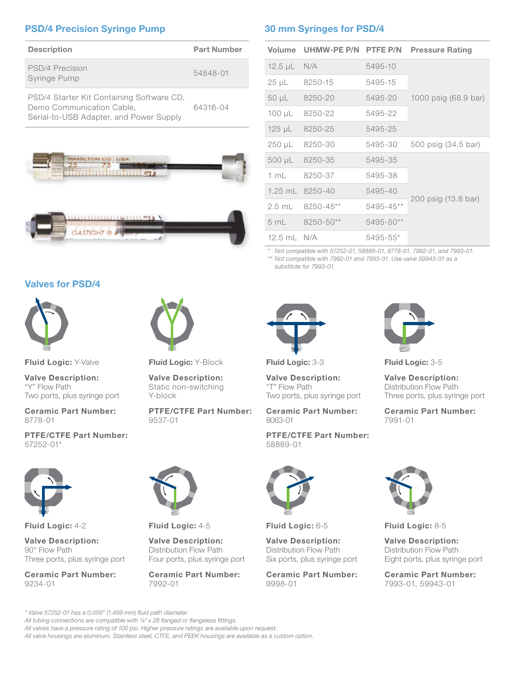#### PSD/4 Precision Syringe Pump

| <b>Description</b>                                                                                                | <b>Part Number</b> |
|-------------------------------------------------------------------------------------------------------------------|--------------------|
| PSD/4 Precision<br>Syringe Pump                                                                                   | 54848-01           |
| PSD/4 Starter Kit Containing Software CD,<br>Demo Communication Cable,<br>Serial-to-USB Adapter, and Power Supply | 64316-04           |





#### Valves for PSD/4



Fluid Logic: Y-Valve

Valve Description: "Y" Flow Path Two ports, plus syringe port

Ceramic Part Number: 8778-01

PTFE/CTFE Part Number: 57252-01\*



Fluid Logic: 4-2

Valve Description: 90° Flow Path Three ports, plus syringe port

Ceramic Part Number: 9234-01

Fluid Logic: Y-Block

Valve Description: Static non-switching Y-block

PTFE/CTFE Part Number: 9537-01

#### 30 mm Syringes for PSD/4

| Volume        | UHMW-PE P/N PTFE P/N |           | <b>Pressure Rating</b> |
|---------------|----------------------|-----------|------------------------|
| $12.5 \mu L$  | N/A                  | 5495-10   | 1000 psig (68.9 bar)   |
| $25 \mu L$    | 8250-15              | 5495-15   |                        |
| $50 \mu L$    | 8250-20              | 5495-20   |                        |
| $100 \mu L$   | 8250-22              | 5495-22   |                        |
| $125 \mu L$   | 8250-25              | 5495-25   |                        |
| 250 µL        | 8250-30              | 5495-30   | 500 psig (34.5 bar)    |
| $500 \mu L$   | 8250-35              | 5495-35   | 200 psig (13.8 bar)    |
| 1 m $\lfloor$ | 8250-37              | 5495-38   |                        |
| $1.25$ mL     | 8250-40              | 5495-40   |                        |
| $2.5$ mL      | 8250-45**            | 5495-45** |                        |
| 5 mL          | $8250 - 50**$        | 5495-50** |                        |
| 12.5 mL $N/A$ |                      | 5495-55*  |                        |

\* Not compatible with 57252-01, 58889-01, 8778-01, 7992-01, and 7993-01.

\*\* Not compatible with 7992-01 and 7993-01. Use valve 59943-01 as a substitute for 7993-01.



Fluid Logic: 3-3

Valve Description: "T" Flow Path Two ports, plus syringe port

Ceramic Part Number: 8063-01

PTFE/CTFE Part Number: 58889-01



Fluid Logic: 3-5

Valve Description: Distribution Flow Path Three ports, plus syringe port

Ceramic Part Number: 7991-01



Fluid Logic: 6-5

Valve Description: Distribution Flow Path Six ports, plus syringe port

Ceramic Part Number: 9998-01



Fluid Logic: 8-5

Valve Description: Distribution Flow Path Eight ports, plus syringe port

Ceramic Part Number: 7993-01, 59943-01

\* Valve 57252-01 has a 0.059" (1.499 mm) fluid path diameter.

All tubing connections are compatible with 1/4" x 28 flanged or flangeless fittings.

All valves have a pressure rating of 100 psi. Higher pressure ratings are available upon request.

All valve housings are aluminum. Stainless steel, CTFE, and PEEK housings are available as a custom option.

7992-01

Fluid Logic: 4-5 Valve Description: Distribution Flow Path Four ports, plus syringe port Ceramic Part Number: